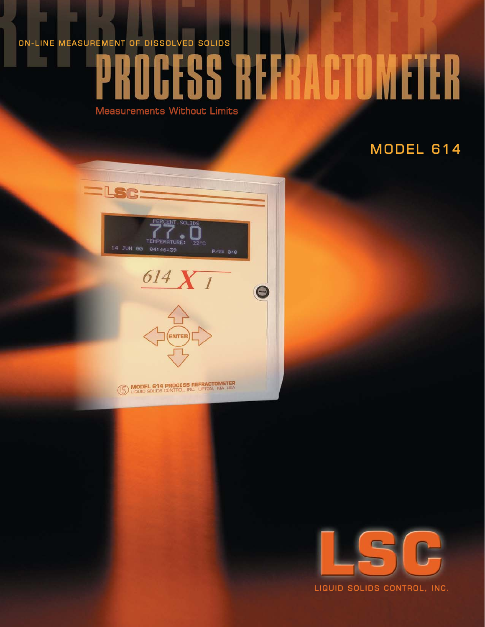# ON-LINE MEASUREMENT OF DISSOLVED SOLIDS

# REFRACTOMETER

 $\Theta$ 

Measurements Without Limits

# MODEL 614





MODEL 614 PROCESS REFRACTOMETER



LIQUID SOLIDS CONTROL, INC.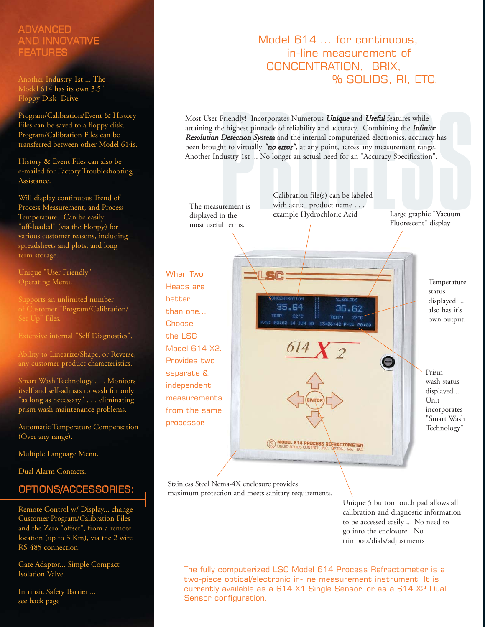# ADVANCED AND INNOVATIVE **FEATURES**

Another Industry 1st ... The Model 614 has its own 3.5" Floppy Disk Drive.

Program/Calibration/Event & History Files can be saved to a floppy disk. Program/Calibration Files can be transferred between other Model 614s.

History & Event Files can also be e-mailed for Factory Troubleshooting Assistance.

Will display continuous Trend of Process Measurement, and Process Temperature. Can be easily "off-loaded" (via the Floppy) for various customer reasons, including spreadsheets and plots, and long term storage.

Unique "User Friendly" Operating Menu.

Supports an unlimited number of Customer "Program/Calibration/

Extensive internal "Self Diagnostics".

Ability to Linearize/Shape, or Reverse, any customer product characteristics.

Smart Wash Technology . . . Monitors itself and self-adjusts to wash for only "as long as necessary" . . . eliminating prism wash maintenance problems.

Automatic Temperature Compensation (Over any range).

Multiple Language Menu.

Dual Alarm Contacts.

# OPTIONS/ACCESSORIES:

Remote Control w/ Display... change Customer Program/Calibration Files and the Zero "offset", from a remote location (up to 3 Km), via the 2 wire RS-485 connection.

Gate Adaptor... Simple Compact Isolation Valve.

Intrinsic Safety Barrier ... see back page

# Model 614 ... for continuous, in-line measurement of CONCENTRATION, BRIX, % SOLIDS, RI, ETC.

Friendly! Incorporates Numerous **Unique** and **Useful** features while<br>
ne highest pinnacle of reliability and accuracy. Combining the **Infinite**<br> **Detection System** and the internal computerized electronics, accuracy has<br>
t Most User Friendly! Incorporates Numerous *Unique* and *Useful* features while attaining the highest pinnacle of reliability and accuracy. Combining the *Infinite* Resolution Detection System and the internal computerized electronics, accuracy has been brought to virtually "no error", at any point, across any measurement range. Another Industry 1st ... No longer an actual need for an "Accuracy Specification".

The measurement is displayed in the most useful terms.

Calibration file(s) can be labeled with actual product name . . . example Hydrochloric Acid Large graphic "Vacuum

Fluorescent" display

When Two Heads are better than one... **Choose** the LSC Model 614 X2. Provides two separate & independent measurements from the same processor.



Stainless Steel Nema-4X enclosure provides maximum protection and meets sanitary requirements.

> Unique 5 button touch pad allows all calibration and diagnostic information to be accessed easily ... No need to go into the enclosure. No trimpots/dials/adjustments

The fully computerized LSC Model 614 Process Refractometer is a two-piece optical/electronic in-line measurement instrument. It is currently available as a 614 X1 Single Sensor, or as a 614 X2 Dual Sensor configuration.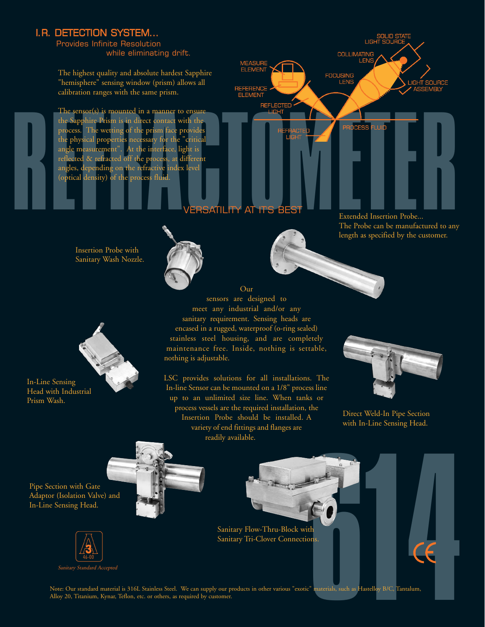# I.R. DETECTION SYSTEM...

Provides Infinite Resolution while eliminating drift.

The highest quality and absolute hardest Sapphire "hemisphere" sensing window (prism) allows all calibration ranges with the same prism.

The sensor(s) is mounted in a manner to ensure the Sapphire Prism is in direct contact with the process. The wetting of the prism face provides the physical properties necessary for the "critical angle measurement". At the interface, light is reflected & refracted off the process, at different angles, depending on the refractive index level (optical density) of the process fluid.



Extended Insertion Probe... The Probe can be manufactured to any length as specified by the customer.

Insertion Probe with Sanitary Wash Nozzle.



meet any industrial and/or any sanitary requirement. Sensing heads are encased in a rugged, waterproof (o-ring sealed) stainless steel housing, and are completely maintenance free. Inside, nothing is settable, nothing is adjustable.

LSC provides solutions for all installations. The In-line Sensor can be mounted on a 1/8" process line up to an unlimited size line. When tanks or process vessels are the required installation, the Insertion Probe should be installed. A variety of end fittings and flanges are readily available.

Our



Direct Weld-In Pipe Section with In-Line Sensing Head.

Pipe Section with Gate Adaptor (Isolation Valve) and In-Line Sensing Head.

In-Line Sensing Head with Industrial

Prism Wash.



Sanitary Standard Accepted



Sanitary Flow-Thru-Block with Sanitary Tri-Clover Connections.

th<br>th<br>ms.<br>E" materials, such as Hastelloy B/C, Tantalum, Note: Our standard material is 316L Stainless Steel. We can supply our products in other various "exotic" materials, such as Hastelloy B/C, Tantalum, Alloy 20, Titanium, Kynar, Teflon, etc. or others, as required by customer.